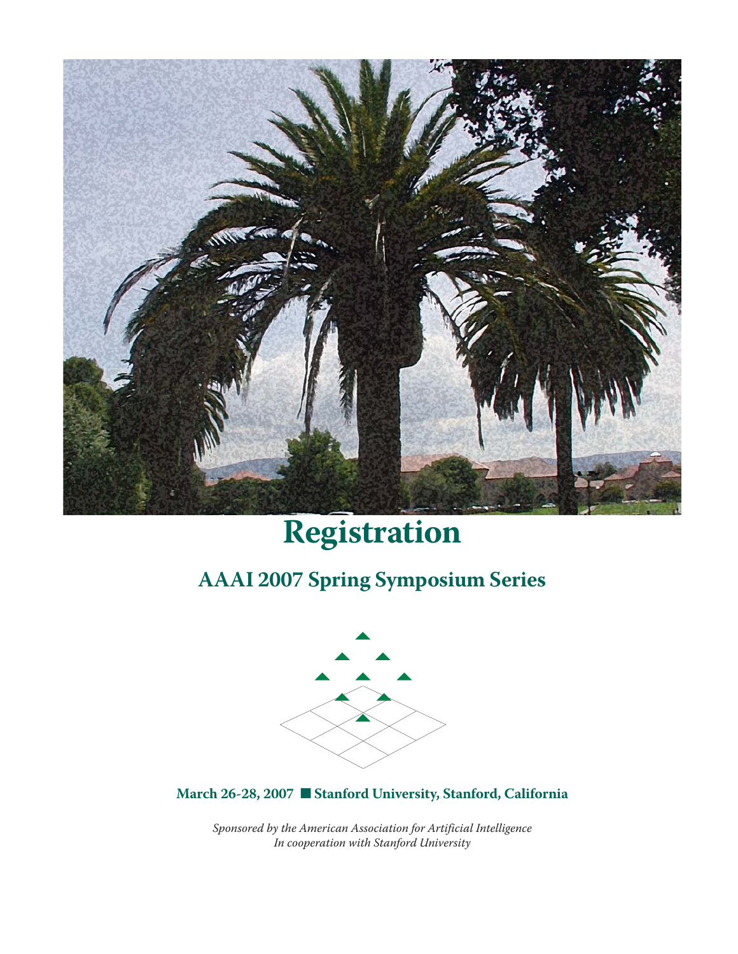

# **Registration**

# **AAAI 2007 Spring Symposium Series**



**March 26-28, 2007** ■ **Stanford University, Stanford, California**

*Sponsored by the American Association for Artificial Intelligence In cooperation with Stanford University*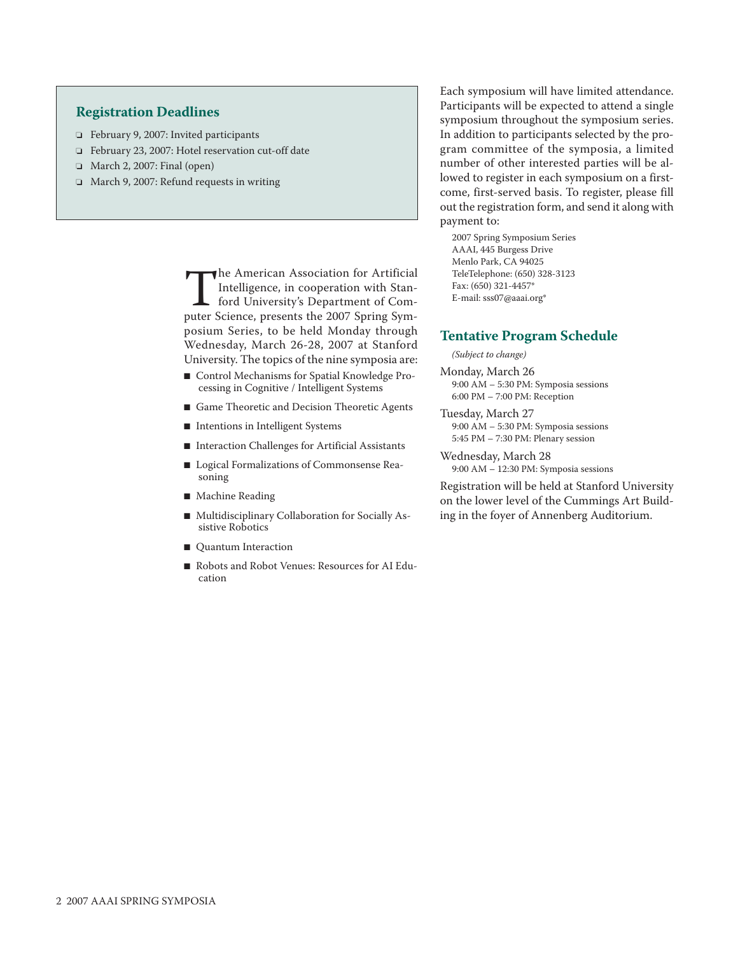## **Registration Deadlines**

- ❏ February 9, 2007: Invited participants
- ❏ February 23, 2007: Hotel reservation cut-off date
- ❏ March 2, 2007: Final (open)
- ❏ March 9, 2007: Refund requests in writing

The American Association for Artificial<br>Intelligence, in cooperation with Stan-<br>ford University's Department of Com-<br>puter Science, presents the 2007 Spring Sym-Intelligence, in cooperation with Stanford University's Department of Computer Science, presents the 2007 Spring Symposium Series, to be held Monday through Wednesday, March 26-28, 2007 at Stanford University. The topics of the nine symposia are:

- Control Mechanisms for Spatial Knowledge Processing in Cognitive / Intelligent Systems
- Game Theoretic and Decision Theoretic Agents
- Intentions in Intelligent Systems
- Interaction Challenges for Artificial Assistants
- Logical Formalizations of Commonsense Reasoning
- Machine Reading
- Multidisciplinary Collaboration for Socially Assistive Robotics
- Quantum Interaction
- Robots and Robot Venues: Resources for AI Education

Each symposium will have limited attendance. Participants will be expected to attend a single symposium throughout the symposium series. In addition to participants selected by the program committee of the symposia, a limited number of other interested parties will be allowed to register in each symposium on a firstcome, first-served basis. To register, please fill out the registration form, and send it along with payment to:

2007 Spring Symposium Series AAAI, 445 Burgess Drive Menlo Park, CA 94025 TeleTelephone: (650) 328-3123 Fax: (650) 321-4457\* E-mail: sss07@aaai.org\*

#### **Tentative Program Schedule**

#### *(Subject to change)*

- Monday, March 26 9:00 AM – 5:30 PM: Symposia sessions 6:00 PM – 7:00 PM: Reception
- Tuesday, March 27 9:00 AM – 5:30 PM: Symposia sessions 5:45 PM – 7:30 PM: Plenary session
- Wednesday, March 28 9:00 AM – 12:30 PM: Symposia sessions

Registration will be held at Stanford University on the lower level of the Cummings Art Building in the foyer of Annenberg Auditorium.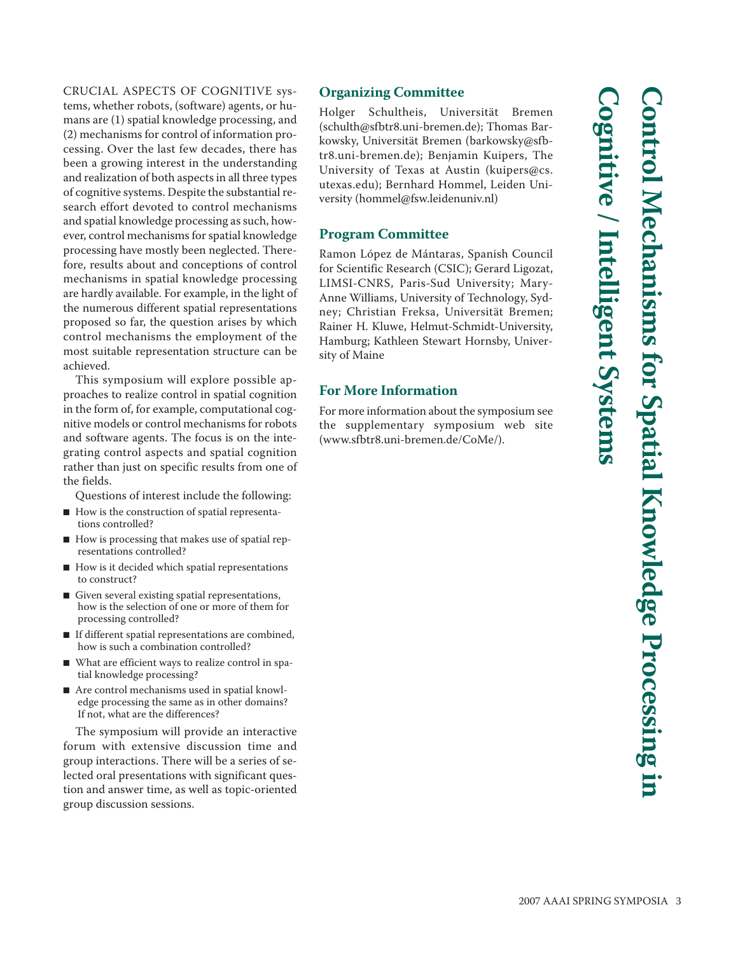CRUCIAL ASPECTS OF COGNITIVE systems, whether robots, (software) agents, or humans are (1) spatial knowledge processing, and (2) mechanisms for control of information processing. Over the last few decades, there has been a growing interest in the understanding and realization of both aspects in all three types of cognitive systems. Despite the substantial research effort devoted to control mechanisms and spatial knowledge processing as such, however, control mechanisms for spatial knowledge processing have mostly been neglected. Therefore, results about and conceptions of control mechanisms in spatial knowledge processing are hardly available. For example, in the light of the numerous different spatial representations proposed so far, the question arises by which control mechanisms the employment of the most suitable representation structure can be achieved.

This symposium will explore possible approaches to realize control in spatial cognition in the form of, for example, computational cognitive models or control mechanisms for robots and software agents. The focus is on the integrating control aspects and spatial cognition rather than just on specific results from one of the fields.

Questions of interest include the following:

- How is the construction of spatial representations controlled?
- How is processing that makes use of spatial representations controlled?
- How is it decided which spatial representations to construct?
- Given several existing spatial representations, how is the selection of one or more of them for processing controlled?
- If different spatial representations are combined, how is such a combination controlled?
- What are efficient ways to realize control in spatial knowledge processing?
- Are control mechanisms used in spatial knowledge processing the same as in other domains? If not, what are the differences?

The symposium will provide an interactive forum with extensive discussion time and group interactions. There will be a series of selected oral presentations with significant question and answer time, as well as topic-oriented group discussion sessions.

# **Organizing Committee**

Holger Schultheis, Universität Bremen (schulth@sfbtr8.uni-bremen.de); Thomas Bar kowsky, Universität Bremen (barkowsky@sfbtr8.uni-bremen.de); Benjamin Kuipers, The University of Texas at Austin (kuipers@cs. utexas.edu); Bernhard Hommel, Leiden University (hommel@fsw.leidenuniv.nl)

#### **Program Committee**

Ramon López de Mántaras, Spanish Council for Scientific Research (CSIC); Gerard Ligozat, LIMSI-CNRS, Paris-Sud University; Mary-Anne Williams, University of Technology, Sydney; Christian Freksa, Universität Bremen; Rainer H. Kluwe, Helmut-Schmidt-University, Hamburg; Kathleen Stewart Hornsby, University of Maine

# **For More Information**

For more information about the symposium see the supplementary symposium web site (www.sfbtr8.uni-bremen.de/CoMe/).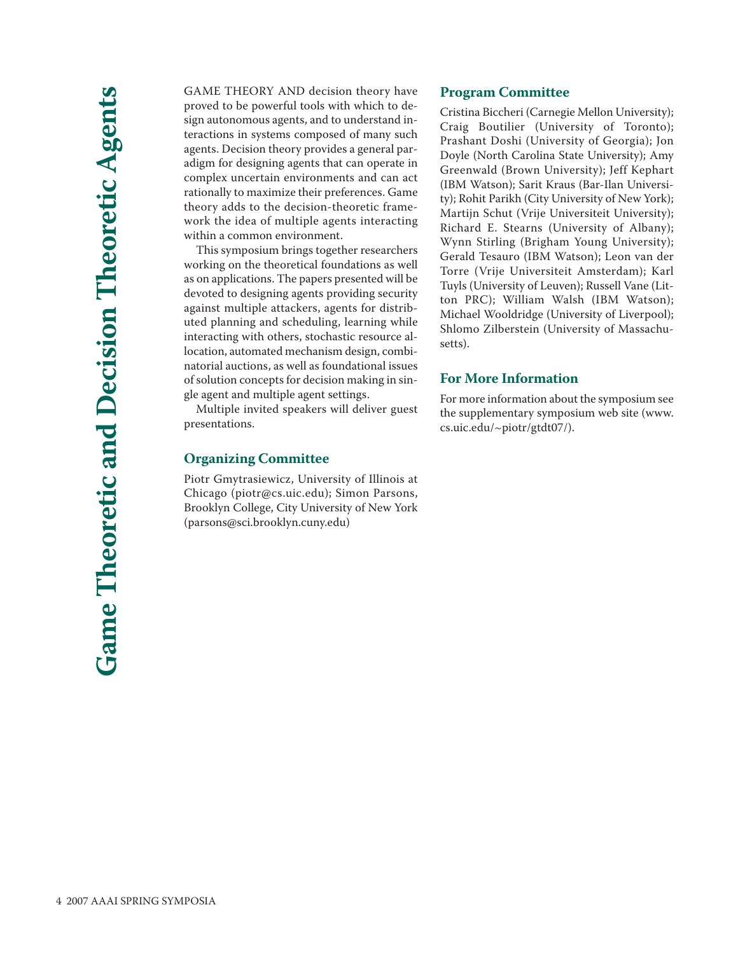GAME THEORY AND decision theory have proved to be powerful tools with which to design autonomous agents, and to understand interactions in systems composed of many such agents. Decision theory provides a general paradigm for designing agents that can operate in complex uncertain environments and can act rationally to maximize their preferences. Game theory adds to the decision-theoretic framework the idea of multiple agents interacting within a common environment.

This symposium brings together researchers working on the theoretical foundations as well as on applications. The papers presented will be devoted to designing agents providing security against multiple attackers, agents for distributed planning and scheduling, learning while interacting with others, stochastic resource allocation, automated mechanism design, combinatorial auctions, as well as foundational issues of solution concepts for decision making in single agent and multiple agent settings.

Multiple invited speakers will deliver guest presentations.

#### **Organizing Committee**

Piotr Gmytrasiewicz, University of Illinois at Chicago (piotr@cs.uic.edu); Simon Parsons, Brooklyn College, City University of New York (parsons@sci.brooklyn.cuny.edu)

#### **Program Committee**

Cristina Biccheri (Carnegie Mellon University); Craig Boutilier (University of Toronto); Prashant Doshi (University of Georgia); Jon Doyle (North Carolina State University); Amy Greenwald (Brown University); Jeff Kephart (IBM Watson); Sarit Kraus (Bar-Ilan University); Rohit Parikh (City University of New York); Martijn Schut (Vrije Universiteit University); Richard E. Stearns (University of Albany); Wynn Stirling (Brigham Young University); Gerald Tesauro (IBM Watson); Leon van der Torre (Vrije Universiteit Amsterdam); Karl Tuyls (University of Leuven); Russell Vane (Litton PRC); William Walsh (IBM Watson); Michael Wooldridge (University of Liverpool); Shlomo Zilberstein (University of Massachusetts).

#### **For More Information**

For more information about the symposium see the supplementary symposium web site (www. cs.uic.edu/~piotr/gtdt07/).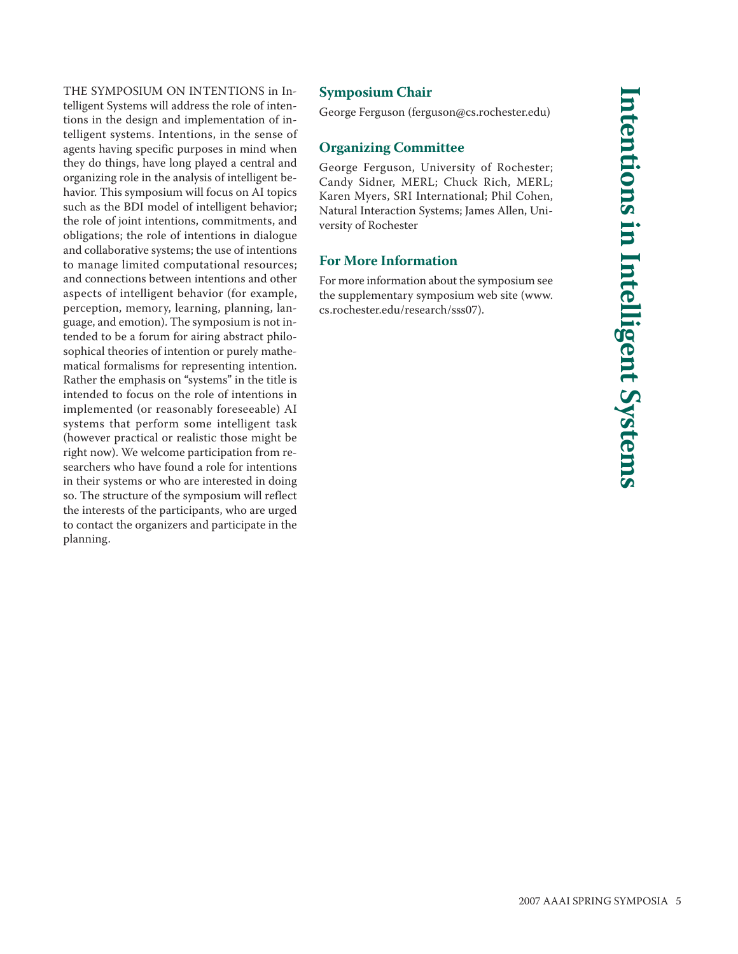THE SYMPOSIUM ON INTENTIONS in Intelligent Systems will address the role of intentions in the design and implementation of intelligent systems. Intentions, in the sense of agents having specific purposes in mind when they do things, have long played a central and organizing role in the analysis of intelligent behavior. This symposium will focus on AI topics such as the BDI model of intelligent behavior; the role of joint intentions, commitments, and obligations; the role of intentions in dialogue and collaborative systems; the use of intentions to manage limited computational resources; and connections between intentions and other aspects of intelligent behavior (for example, perception, memory, learning, planning, language, and emotion). The symposium is not intended to be a forum for airing abstract philosophical theories of intention or purely mathematical formalisms for representing intention. Rather the emphasis on "systems" in the title is intended to focus on the role of intentions in implemented (or reasonably foreseeable) AI systems that perform some intelligent task (however practical or realistic those might be right now). We welcome participation from researchers who have found a role for intentions in their systems or who are interested in doing so. The structure of the symposium will reflect the interests of the participants, who are urged to contact the organizers and participate in the planning.

# **Symposium Chair**

George Ferguson (ferguson@cs.rochester.edu)

# **Organizing Committee**

George Ferguson, University of Rochester; Candy Sidner, MERL; Chuck Rich, MERL; Karen Myers, SRI International; Phil Cohen, Natural Interaction Systems; James Allen, University of Rochester

# **For More Information**

For more information about the symposium see the supplementary symposium web site (www. cs.rochester.edu/research/sss07).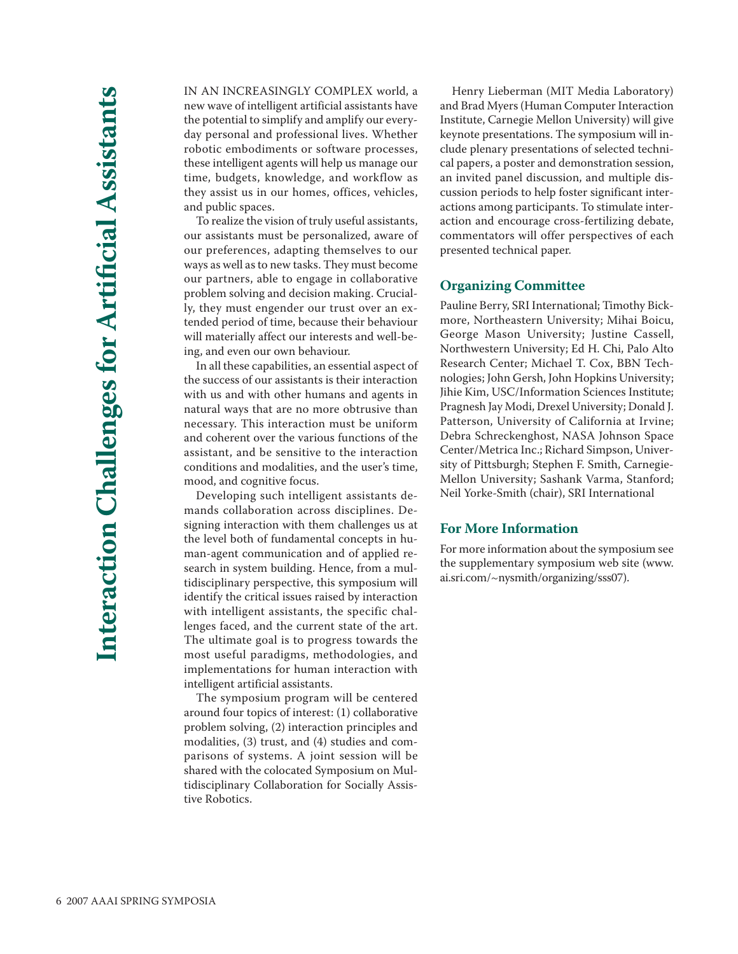IN AN INCREASINGLY COMPLEX world, a new wave of intelligent artificial assistants have the potential to simplify and amplify our everyday personal and professional lives. Whether robotic embodiments or software processes, these intelligent agents will help us manage our time, budgets, knowledge, and workflow as they assist us in our homes, offices, vehicles, and public spaces.

To realize the vision of truly useful assistants, our assistants must be personalized, aware of our preferences, adapting themselves to our ways as well as to new tasks. They must become our partners, able to engage in collaborative problem solving and decision making. Crucially, they must engender our trust over an extended period of time, because their behaviour will materially affect our interests and well-being, and even our own behaviour.

In all these capabilities, an essential aspect of the success of our assistants is their interaction with us and with other humans and agents in natural ways that are no more obtrusive than necessary. This interaction must be uniform and coherent over the various functions of the assistant, and be sensitive to the interaction conditions and modalities, and the user's time, mood, and cognitive focus.

Developing such intelligent assistants demands collaboration across disciplines. Designing interaction with them challenges us at the level both of fundamental concepts in human-agent communication and of applied research in system building. Hence, from a multidisciplinary perspective, this symposium will identify the critical issues raised by interaction with intelligent assistants, the specific challenges faced, and the current state of the art. The ultimate goal is to progress towards the most useful paradigms, methodologies, and implementations for human interaction with intelligent artificial assistants.

The symposium program will be centered around four topics of interest: (1) collaborative problem solving, (2) interaction principles and modalities, (3) trust, and (4) studies and comparisons of systems. A joint session will be shared with the colocated Symposium on Multidisciplinary Collaboration for Socially Assistive Robotics.

Henry Lieberman (MIT Media Laboratory) and Brad Myers (Human Computer Interaction Institute, Carnegie Mellon University) will give keynote presentations. The symposium will include plenary presentations of selected technical papers, a poster and demonstration session, an invited panel discussion, and multiple discussion periods to help foster significant interactions among participants. To stimulate interaction and encourage cross-fertilizing debate, commentators will offer perspectives of each presented technical paper.

#### **Organizing Committee**

Pauline Berry, SRI International; Timothy Bickmore, Northeastern University; Mihai Boicu, George Mason University; Justine Cassell, Northwestern University; Ed H. Chi, Palo Alto Research Center; Michael T. Cox, BBN Technologies; John Gersh, John Hopkins University; Jihie Kim, USC/Information Sciences Institute; Pragnesh Jay Modi, Drexel University; Donald J. Patterson, University of California at Irvine; Debra Schreckenghost, NASA Johnson Space Center/Metrica Inc.; Richard Simpson, University of Pittsburgh; Stephen F. Smith, Carnegie-Mellon University; Sashank Varma, Stanford; Neil Yorke-Smith (chair), SRI International

#### **For More Information**

For more information about the symposium see the supplementary symposium web site (www. ai.sri.com/~nysmith/organizing/sss07).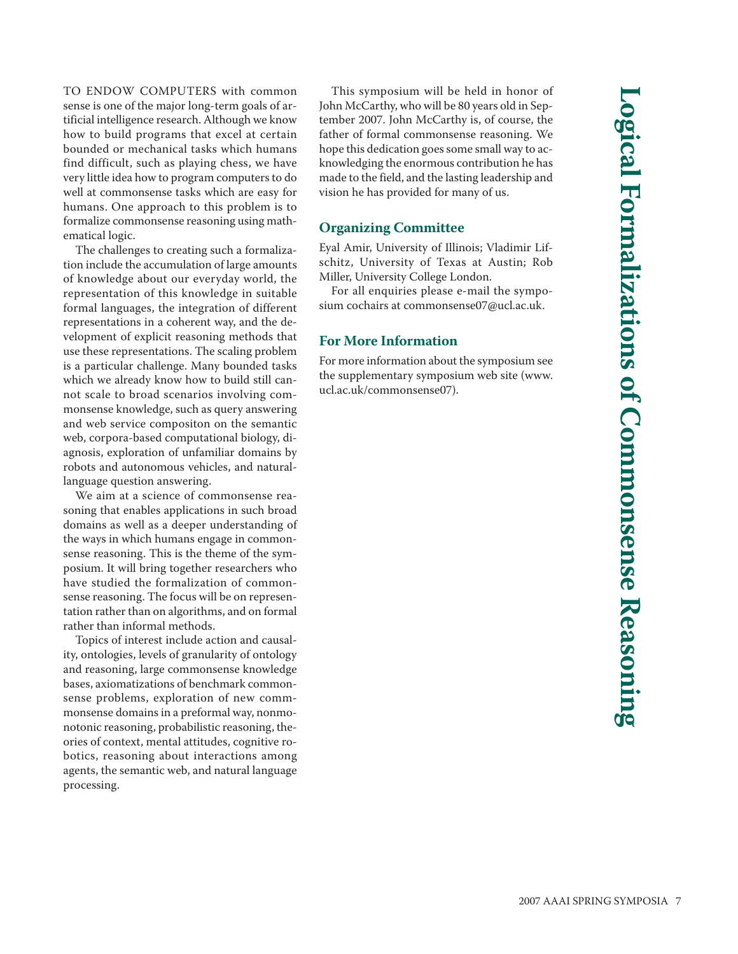TO ENDOW COMPUTERS with common sense is one of the major long-term goals of artificial intelligence research. Although we know how to build programs that excel at certain bounded or mechanical tasks which humans find difficult, such as playing chess, we have very little idea how to program computers to do well at commonsense tasks which are easy for humans. One approach to this problem is to formalize commonsense reasoning using mathematical logic. The challenges to creating such a formaliza-

tion include the accumulation of large amounts of knowledge about our everyday world, the representation of this knowledge in suitable formal languages, the integration of different representations in a coherent way, and the development of explicit reasoning methods that use these representations. The scaling problem is a particular challenge. Many bounded tasks which we already know how to build still cannot scale to broad scenarios involving commonsense knowledge, such as query answering and web service compositon on the semantic web, corpora-based computational biology, diagnosis, exploration of unfamiliar domains by robots and autonomous vehicles, and naturallanguage question answering.

We aim at a science of commonsense reasoning that enables applications in such broad domains as well as a deeper understanding of the ways in which humans engage in commonsense reasoning. This is the theme of the symposium. It will bring together researchers who have studied the formalization of commonsense reasoning. The focus will be on representation rather than on algorithms, and on formal rather than informal methods.

Topics of interest include action and causality, ontologies, levels of granularity of ontology and reasoning, large commonsense knowledge bases, axiomatizations of benchmark commonsense problems, exploration of new commmonsense domains in a preformal way, nonmonotonic reasoning, probabilistic reasoning, theories of context, mental attitudes, cognitive robotics, reasoning about interactions among agents, the semantic web, and natural language processing.

This symposium will be held in honor of John McCarthy, who will be 80 years old in September 2007. John McCarthy is, of course, the father of formal commonsense reasoning. We hope this dedication goes some small way to acknowledging the enormous contribution he has made to the field, and the lasting leadership and vision he has provided for many of us.

#### **Organizing Committee**

Eyal Amir, University of Illinois; Vladimir Lifschitz, University of Texas at Austin; Rob Miller, University College London.

For all enquiries please e-mail the symposium cochairs at commonsense07@ucl.ac.uk.

#### **For More Information**

For more information about the symposium see the supplementary symposium web site (www. ucl.ac.uk/commonsense07).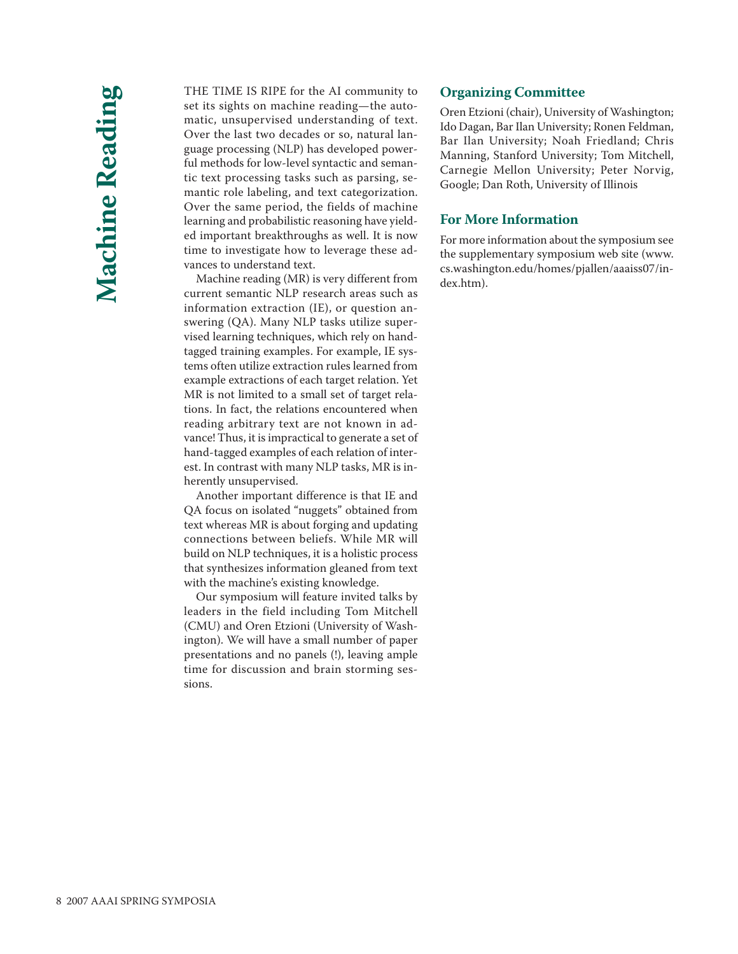THE TIME IS RIPE for the AI community to set its sights on machine reading—the automatic, unsupervised understanding of text. Over the last two decades or so, natural language processing (NLP) has developed powerful methods for low-level syntactic and semantic text processing tasks such as parsing, semantic role labeling, and text categorization. Over the same period, the fields of machine learning and probabilistic reasoning have yielded important breakthroughs as well. It is now time to investigate how to leverage these advances to understand text.

Machine reading (MR) is very different from current semantic NLP research areas such as information extraction (IE), or question answering (QA). Many NLP tasks utilize supervised learning techniques, which rely on handtagged training examples. For example, IE systems often utilize extraction rules learned from example extractions of each target relation. Yet MR is not limited to a small set of target relations. In fact, the relations encountered when reading arbitrary text are not known in advance! Thus, it is impractical to generate a set of hand-tagged examples of each relation of interest. In contrast with many NLP tasks, MR is inherently unsupervised.

Another important difference is that IE and QA focus on isolated "nuggets" obtained from text whereas MR is about forging and updating connections between beliefs. While MR will build on NLP techniques, it is a holistic process that synthesizes information gleaned from text with the machine's existing knowledge.

Our symposium will feature invited talks by leaders in the field including Tom Mitchell (CMU) and Oren Etzioni (University of Washington). We will have a small number of paper presentations and no panels (!), leaving ample time for discussion and brain storming sessions.

#### **Organizing Committee**

Oren Etzioni (chair), University of Washington; Ido Dagan, Bar Ilan University; Ronen Feldman, Bar Ilan University; Noah Friedland; Chris Manning, Stanford University; Tom Mitchell, Carnegie Mellon University; Peter Norvig, Google; Dan Roth, University of Illinois

#### **For More Information**

For more information about the symposium see the supplementary symposium web site (www. cs.washington.edu/homes/pjallen/aaaiss07/index.htm).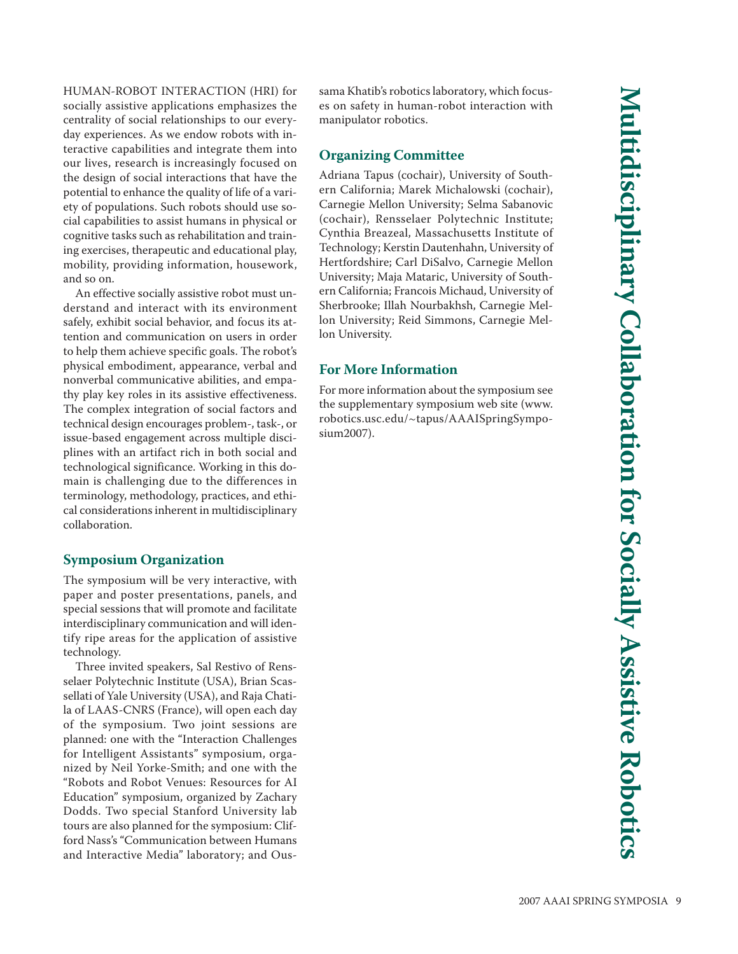HUMAN-ROBOT INTERACTION (HRI) for socially assistive applications emphasizes the centrality of social relationships to our everyday experiences. As we endow robots with interactive capabilities and integrate them into our lives, research is increasingly focused on the design of social interactions that have the potential to enhance the quality of life of a variety of populations. Such robots should use social capabilities to assist humans in physical or cognitive tasks such as rehabilitation and training exercises, therapeutic and educational play, mobility, providing information, housework, and so on.

An effective socially assistive robot must understand and interact with its environment safely, exhibit social behavior, and focus its attention and communication on users in order to help them achieve specific goals. The robot's physical embodiment, appearance, verbal and nonverbal communicative abilities, and empathy play key roles in its assistive effectiveness. The complex integration of social factors and technical design encourages problem-, task-, or issue-based engagement across multiple disciplines with an artifact rich in both social and technological significance. Working in this domain is challenging due to the differences in terminology, methodology, practices, and ethical considerations inherent in multidisciplinary collaboration.

### **Symposium Organization**

The symposium will be very interactive, with paper and poster presentations, panels, and special sessions that will promote and facilitate interdisciplinary communication and will identify ripe areas for the application of assistive technology.

Three invited speakers, Sal Restivo of Rensselaer Polytechnic Institute (USA), Brian Scassellati of Yale University (USA), and Raja Chatila of LAAS-CNRS (France), will open each day of the symposium. Two joint sessions are planned: one with the "Interaction Challenges for Intelligent Assistants" symposium, organized by Neil Yorke-Smith; and one with the "Robots and Robot Venues: Resources for AI Education" symposium, organized by Zachary Dodds. Two special Stanford University lab tours are also planned for the symposium: Clifford Nass's "Communication between Humans and Interactive Media" laboratory; and Oussama Khatib's robotics laboratory, which focuses on safety in human-robot interaction with manipulator robotics.

# **Organizing Committee**

Adriana Tapus (cochair), University of Southern California; Marek Michalowski (cochair), Carnegie Mellon University; Selma Sabanovic (cochair), Rensselaer Polytechnic Institute; Cynthia Breazeal, Massachusetts Institute of Technology; Kerstin Dautenhahn, University of Hertfordshire; Carl DiSalvo, Carnegie Mellon University; Maja Mataric, University of Southern California; Francois Michaud, University of Sherbrooke; Illah Nourbakhsh, Carnegie Mellon University; Reid Simmons, Carnegie Mellon University.

# **For More Information**

For more information about the symposium see the supplementary symposium web site (www. robotics.usc.edu/~tapus/AAAISpringSymposium2007).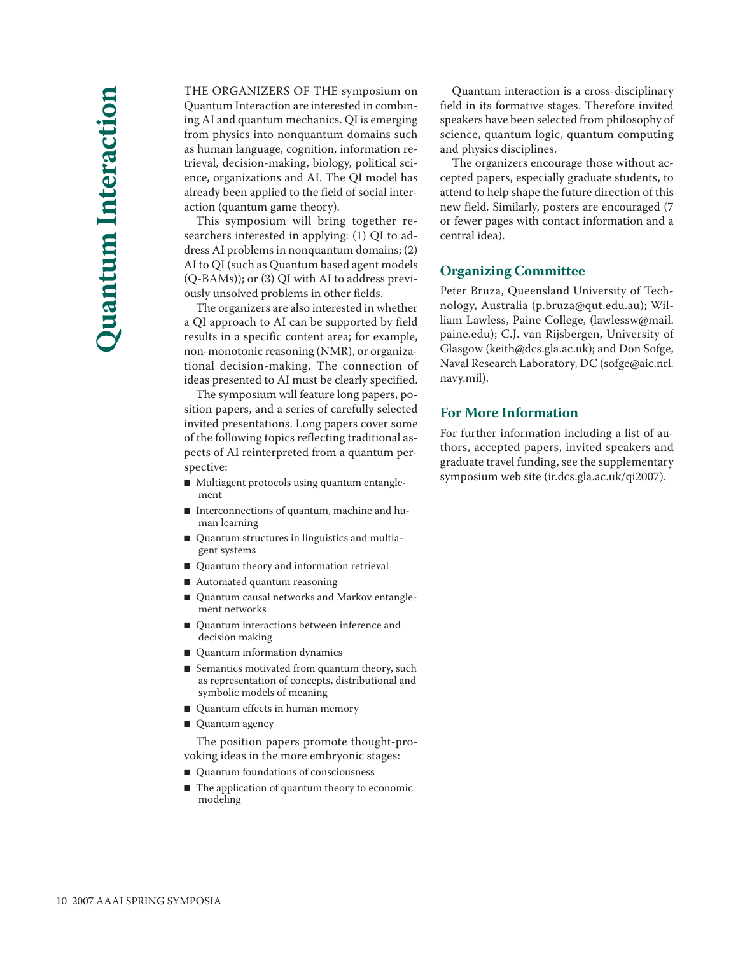THE ORGANIZERS OF THE symposium on Quantum Interaction are interested in combining AI and quantum mechanics. QI is emerging from physics into nonquantum domains such as human language, cognition, information retrieval, decision-making, biology, political science, organizations and AI. The QI model has already been applied to the field of social interaction (quantum game theory).

This symposium will bring together researchers interested in applying: (1) QI to address AI problems in nonquantum domains; (2) AI to QI (such as Quantum based agent models (Q-BAMs)); or (3) QI with AI to address previously unsolved problems in other fields.

The organizers are also interested in whether a QI approach to AI can be supported by field results in a specific content area; for example, non-monotonic reasoning (NMR), or organizational decision-making. The connection of ideas presented to AI must be clearly specified.

The symposium will feature long papers, position papers, and a series of carefully selected invited presentations. Long papers cover some of the following topics reflecting traditional aspects of AI reinterpreted from a quantum perspective:

- Multiagent protocols using quantum entanglement
- Interconnections of quantum, machine and human learning
- Quantum structures in linguistics and multiagent systems
- Quantum theory and information retrieval
- Automated quantum reasoning
- Quantum causal networks and Markov entanglement networks
- Quantum interactions between inference and decision making
- Quantum information dynamics
- Semantics motivated from quantum theory, such as representation of concepts, distributional and symbolic models of meaning
- Quantum effects in human memory
- Quantum agency

The position papers promote thought-provoking ideas in the more embryonic stages:

- Quantum foundations of consciousness
- The application of quantum theory to economic modeling

Quantum interaction is a cross-disciplinary field in its formative stages. Therefore invited speakers have been selected from philosophy of science, quantum logic, quantum computing and physics disciplines.

The organizers encourage those without accepted papers, especially graduate students, to attend to help shape the future direction of this new field. Similarly, posters are encouraged (7 or fewer pages with contact information and a central idea).

# **Organizing Committee**

Peter Bruza, Queensland University of Technology, Australia (p.bruza@qut.edu.au); Wil liam Lawless, Paine College, (lawlessw@mail. paine.edu); C.J. van Rijsbergen, University of Glasgow (keith@dcs.gla.ac.uk); and Don Sofge, Naval Research Laboratory, DC (sofge@aic.nrl. navy.mil).

#### **For More Information**

For further information including a list of authors, accepted papers, invited speakers and graduate travel funding, see the supplementary symposium web site (ir.dcs.gla.ac.uk/qi2007).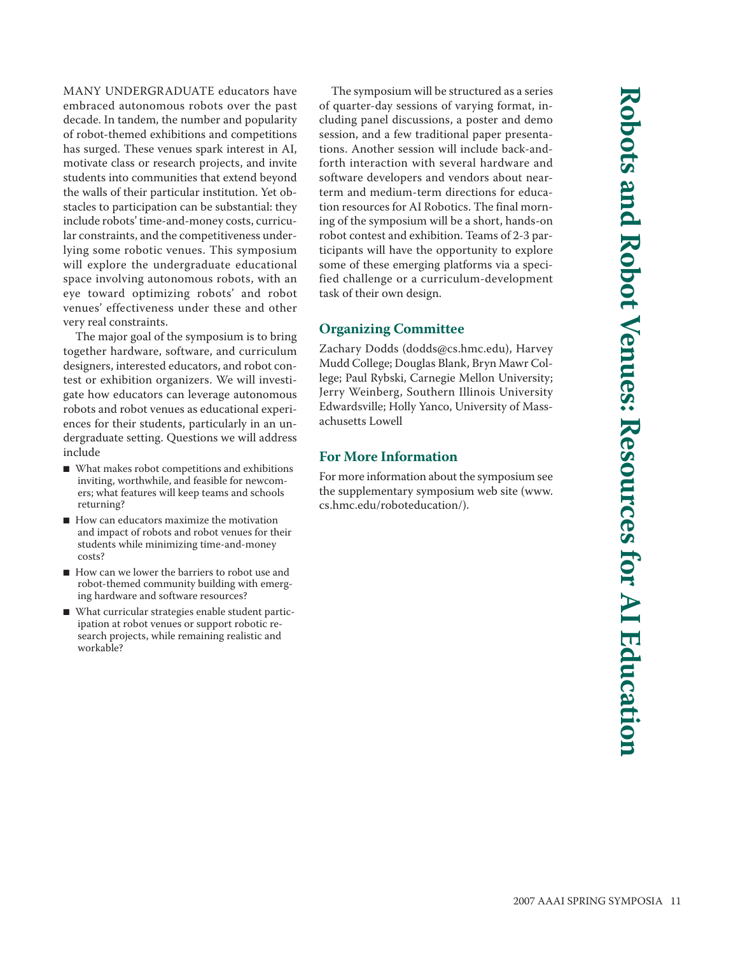MANY UNDERGRADUATE educators have embraced autonomous robots over the past decade. In tandem, the number and popularity of robot-themed exhibitions and competitions has surged. These venues spark interest in AI, motivate class or research projects, and invite students into communities that extend beyond the walls of their particular institution. Yet obstacles to participation can be substantial: they include robots' time-and-money costs, curricular constraints, and the competitiveness underlying some robotic venues. This symposium will explore the undergraduate educational space involving autonomous robots, with an eye toward optimizing robots' and robot venues' effectiveness under these and other very real constraints.

The major goal of the symposium is to bring together hardware, software, and curriculum designers, interested educators, and robot contest or exhibition organizers. We will investigate how educators can leverage autonomous robots and robot venues as educational experiences for their students, particularly in an undergraduate setting. Questions we will address include

- What makes robot competitions and exhibitions inviting, worthwhile, and feasible for newcomers; what features will keep teams and schools returning?
- How can educators maximize the motivation and impact of robots and robot venues for their students while minimizing time-and-money costs?
- How can we lower the barriers to robot use and robot-themed community building with emerging hardware and software resources?
- What curricular strategies enable student participation at robot venues or support robotic research projects, while remaining realistic and workable?

The symposium will be structured as a series of quarter-day sessions of varying format, including panel discussions, a poster and demo session, and a few traditional paper presentations. Another session will include back-andforth interaction with several hardware and software developers and vendors about nearterm and medium-term directions for education resources for AI Robotics. The final morning of the symposium will be a short, hands-on robot contest and exhibition. Teams of 2-3 participants will have the opportunity to explore some of these emerging platforms via a specified challenge or a curriculum-development task of their own design.

# **Organizing Committee**

Zachary Dodds (dodds@cs.hmc.edu), Harvey Mudd College; Douglas Blank, Bryn Mawr College; Paul Rybski, Carnegie Mellon University; Jerry Weinberg, Southern Illinois University Edwardsville; Holly Yanco, University of Massachusetts Lowell

# **For More Information**

For more information about the symposium see the supplementary symposium web site (www. cs.hmc.edu/roboteducation/).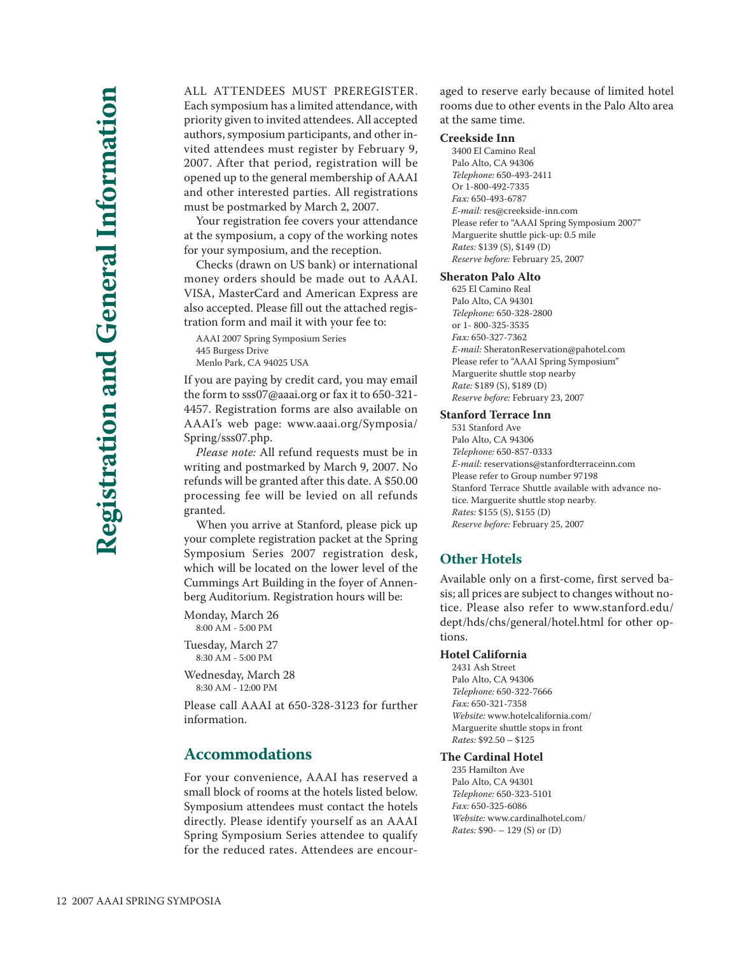ALL ATTENDEES MUST PREREGISTER. Each symposium has a limited attendance, with priority given to invited attendees. All accepted authors, symposium participants, and other invited attendees must register by February 9, 2007. After that period, registration will be opened up to the general membership of AAAI and other interested parties. All registrations must be postmarked by March 2, 2007.

Your registration fee covers your attendance at the symposium, a copy of the working notes for your symposium, and the reception.

Checks (drawn on US bank) or international money orders should be made out to AAAI. VISA, MasterCard and American Express are also accepted. Please fill out the attached registration form and mail it with your fee to:

AAAI 2007 Spring Symposium Series 445 Burgess Drive Menlo Park, CA 94025 USA

If you are paying by credit card, you may email the form to sss07@aaai.org or fax it to 650-321- 4457. Registration forms are also available on AAAI's web page: www.aaai.org/Symposia/ Spring/sss07.php.

*Please note:* All refund requests must be in writing and postmarked by March 9, 2007. No refunds will be granted after this date. A \$50.00 processing fee will be levied on all refunds granted.

When you arrive at Stanford, please pick up your complete registration packet at the Spring Symposium Series 2007 registration desk, which will be located on the lower level of the Cummings Art Building in the foyer of Annenberg Auditorium. Registration hours will be:

Monday, March 26 8:00 AM - 5:00 PM

Tuesday, March 27 8:30 AM - 5:00 PM

Wednesday, March 28 8:30 AM - 12:00 PM

Please call AAAI at 650-328-3123 for further information.

# **Accommodations**

For your convenience, AAAI has reserved a small block of rooms at the hotels listed below. Symposium attendees must contact the hotels directly. Please identify yourself as an AAAI Spring Symposium Series attendee to qualify for the reduced rates. Attendees are encouraged to reserve early because of limited hotel rooms due to other events in the Palo Alto area at the same time.

#### **Creekside Inn**

3400 El Camino Real Palo Alto, CA 94306 *Telephone:* 650-493-2411 Or 1-800-492-7335 *Fax:* 650-493-6787 *E-mail:* res@creekside-inn.com Please refer to "AAAI Spring Symposium 2007" Marguerite shuttle pick-up: 0.5 mile *Rates:* \$139 (S), \$149 (D) *Reserve before:* February 25, 2007

#### **Sheraton Palo Alto**

625 El Camino Real Palo Alto, CA 94301 *Telephone:* 650-328-2800 or 1- 800-325-3535 *Fax:* 650-327-7362 *E-mail:* SheratonReservation@pahotel.com Please refer to "AAAI Spring Symposium" Marguerite shuttle stop nearby *Rate:* \$189 (S), \$189 (D) *Reserve before:* February 23, 2007

#### **Stanford Terrace Inn**

531 Stanford Ave Palo Alto, CA 94306 *Telephone:* 650-857-0333 *E-mail:* reservations@stanfordterraceinn.com Please refer to Group number 97198 Stanford Terrace Shuttle available with advance notice. Marguerite shuttle stop nearby. *Rates:* \$155 (S), \$155 (D) *Reserve before:* February 25, 2007

#### **Other Hotels**

Available only on a first-come, first served basis; all prices are subject to changes without notice. Please also refer to www.stanford.edu/ dept/hds/chs/general/hotel.html for other op tions.

#### **Hotel California**

2431 Ash Street Palo Alto, CA 94306 *Telephone:* 650-322-7666 *Fax:* 650-321-7358 *Website:* www.hotelcalifornia.com/ Marguerite shuttle stops in front *Rates:* \$92.50 – \$125

#### **The Cardinal Hotel**

235 Hamilton Ave Palo Alto, CA 94301 *Telephone:* 650-323-5101 *Fax:* 650-325-6086 *Website:* www.cardinalhotel.com/ *Rates:* \$90- – 129 (S) or (D)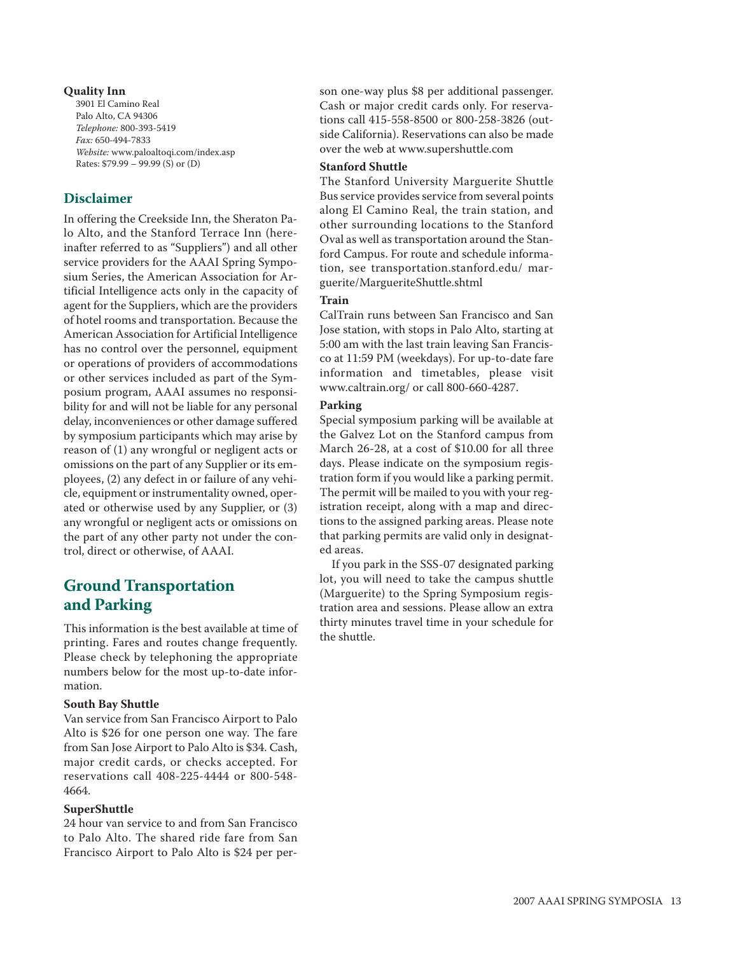#### **Quality Inn**

3901 El Camino Real Palo Alto, CA 94306 *Telephone:* 800-393-5419 *Fax:* 650-494-7833 *Website:* www.paloaltoqi.com/index.asp Rates: \$79.99 – 99.99 (S) or (D)

# **Disclaimer**

In offering the Creekside Inn, the Sheraton Palo Alto, and the Stanford Terrace Inn (hereinafter referred to as "Suppliers") and all other service providers for the AAAI Spring Symposium Series, the American Association for Artificial Intelligence acts only in the capacity of agent for the Suppliers, which are the providers of hotel rooms and transportation. Because the American Association for Artificial Intelligence has no control over the personnel, equipment or operations of providers of accommodations or other services included as part of the Symposium program, AAAI assumes no responsibility for and will not be liable for any personal delay, inconveniences or other damage suffered by symposium participants which may arise by reason of (1) any wrongful or negligent acts or omissions on the part of any Supplier or its employees, (2) any defect in or failure of any vehicle, equipment or instrumentality owned, operated or otherwise used by any Supplier, or (3) any wrongful or negligent acts or omissions on the part of any other party not under the control, direct or otherwise, of AAAI.

# **Ground Transportation and Parking**

This information is the best available at time of printing. Fares and routes change frequently. Please check by telephoning the appropriate numbers below for the most up-to-date information.

#### **South Bay Shuttle**

Van service from San Francisco Airport to Palo Alto is \$26 for one person one way. The fare from San Jose Airport to Palo Alto is \$34. Cash, major credit cards, or checks accepted. For reservations call 408-225-4444 or 800-548- 4664.

#### **SuperShuttle**

24 hour van service to and from San Francisco to Palo Alto. The shared ride fare from San Francisco Airport to Palo Alto is \$24 per person one-way plus \$8 per additional passenger. Cash or major credit cards only. For reservations call 415-558-8500 or 800-258-3826 (outside California). Reservations can also be made over the web at www.supershuttle.com

#### **Stanford Shuttle**

The Stanford University Marguerite Shuttle Bus service provides service from several points along El Camino Real, the train station, and other surrounding locations to the Stanford Oval as well as transportation around the Stanford Campus. For route and schedule information, see transportation.stanford.edu/ marguerite/MargueriteShuttle.shtml

#### **Train**

CalTrain runs between San Francisco and San Jose station, with stops in Palo Alto, starting at 5:00 am with the last train leaving San Francisco at 11:59 PM (weekdays). For up-to-date fare information and timetables, please visit www.caltrain.org/ or call 800-660-4287.

#### **Parking**

Special symposium parking will be available at the Galvez Lot on the Stanford campus from March 26-28, at a cost of \$10.00 for all three days. Please indicate on the symposium registration form if you would like a parking permit. The permit will be mailed to you with your registration receipt, along with a map and directions to the assigned parking areas. Please note that parking permits are valid only in designated areas.

If you park in the SSS-07 designated parking lot, you will need to take the campus shuttle (Marguerite) to the Spring Symposium registration area and sessions. Please allow an extra thirty minutes travel time in your schedule for the shuttle.